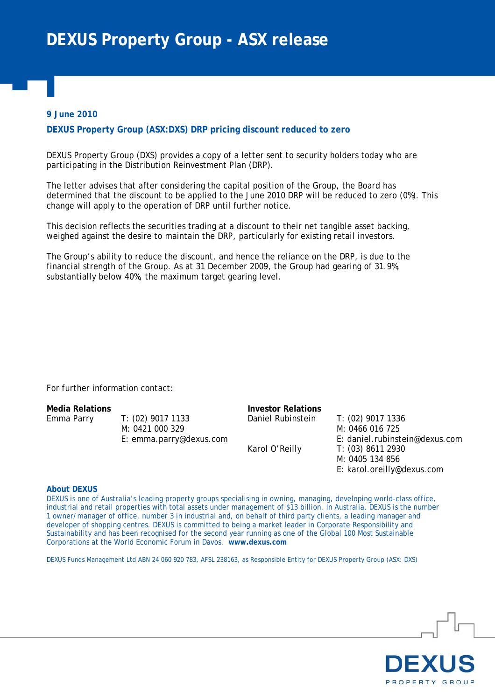## **9 June 2010**

## **DEXUS Property Group (ASX:DXS) DRP pricing discount reduced to zero**

DEXUS Property Group (DXS) provides a copy of a letter sent to security holders today who are participating in the Distribution Reinvestment Plan (DRP).

The letter advises that after considering the capital position of the Group, the Board has determined that the discount to be applied to the June 2010 DRP will be reduced to zero (0%). This change will apply to the operation of DRP until further notice.

This decision reflects the securities trading at a discount to their net tangible asset backing, weighed against the desire to maintain the DRP, particularly for existing retail investors.

The Group's ability to reduce the discount, and hence the reliance on the DRP, is due to the financial strength of the Group. As at 31 December 2009, the Group had gearing of 31.9%, substantially below 40%, the maximum target gearing level.

For further information contact:

**Media Relations Investor Relations**  Emma Parry T: (02) 9017 1133 M: 0421 000 329 E: emma.parry@dexus.com

Daniel Rubinstein T: (02) 9017 1336 M: 0466 016 725 E: daniel.rubinstein@dexus.com Karol O'Reilly T: (03) 8611 2930 M: 0405 134 856 E: karol.oreilly@dexus.com

## **About DEXUS**

DEXUS is one of Australia's leading property groups specialising in owning, managing, developing world-class office, industrial and retail properties with total assets under management of \$13 billion. In Australia, DEXUS is the number 1 owner/manager of office, number 3 in industrial and, on behalf of third party clients, a leading manager and developer of shopping centres. DEXUS is committed to being a market leader in Corporate Responsibility and Sustainability and has been recognised for the second year running as one of the Global 100 Most Sustainable Corporations at the World Economic Forum in Davos. **www.dexus.com**

DEXUS Funds Management Ltd ABN 24 060 920 783, AFSL 238163, as Responsible Entity for DEXUS Property Group (ASX: DXS)

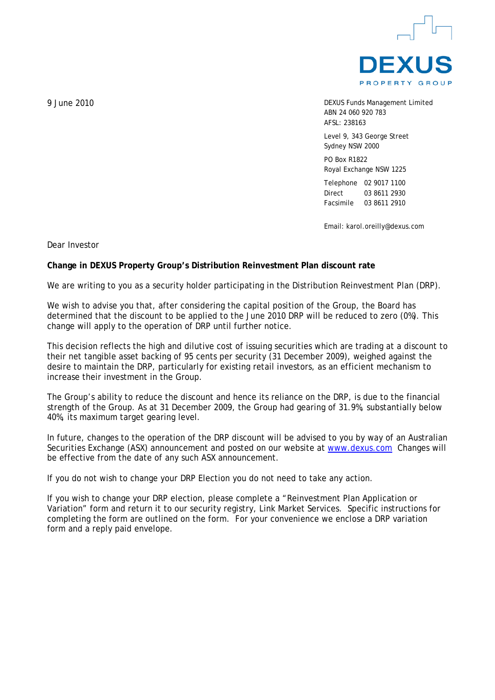

DEXUS Funds Management Limited ABN 24 060 920 783 AFSL: 238163

Level 9, 343 George Street Sydney NSW 2000

PO Box R1822 Royal Exchange NSW 1225

Telephone 02 9017 1100 Direct 03 8611 2930 Facsimile 03 8611 2910

Email: karol.oreilly@dexus.com

Dear Investor

## **Change in DEXUS Property Group's Distribution Reinvestment Plan discount rate**

We are writing to you as a security holder participating in the Distribution Reinvestment Plan (DRP).

We wish to advise you that, after considering the capital position of the Group, the Board has determined that the discount to be applied to the June 2010 DRP will be reduced to zero (0%). This change will apply to the operation of DRP until further notice.

This decision reflects the high and dilutive cost of issuing securities which are trading at a discount to their net tangible asset backing of 95 cents per security (31 December 2009), weighed against the desire to maintain the DRP, particularly for existing retail investors, as an efficient mechanism to increase their investment in the Group.

The Group's ability to reduce the discount and hence its reliance on the DRP, is due to the financial strength of the Group. As at 31 December 2009, the Group had gearing of 31.9%, substantially below 40%, its maximum target gearing level.

In future, changes to the operation of the DRP discount will be advised to you by way of an Australian Securities Exchange (ASX) announcement and posted on our website at www.dexus.com Changes will be effective from the date of any such ASX announcement.

If you do not wish to change your DRP Election you do not need to take any action.

If you wish to change your DRP election, please complete a "Reinvestment Plan Application or Variation" form and return it to our security registry, Link Market Services. Specific instructions for completing the form are outlined on the form. For your convenience we enclose a DRP variation form and a reply paid envelope.

9 June 2010